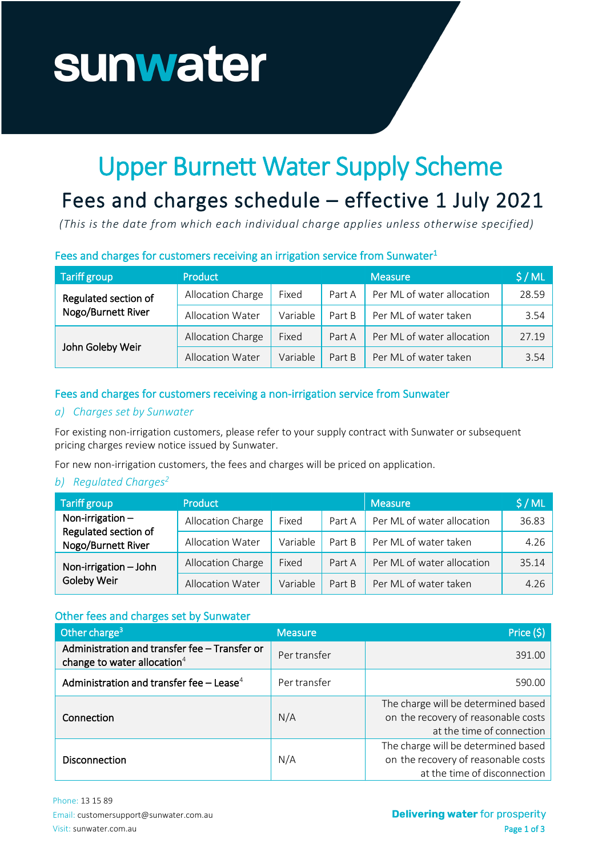# sunwater

## Upper Burnett Water Supply Scheme

### Fees and charges schedule - effective 1 July 2021

*(This is the date from which each individual charge applies unless otherwise specified)*

#### Fees and charges for customers receiving an irrigation service from Sunwater<sup>1</sup>

| <b>Tariff group</b>                        | <b>Product</b>          |          |        | <b>Measure</b>             | \$/ML |
|--------------------------------------------|-------------------------|----------|--------|----------------------------|-------|
| Regulated section of<br>Nogo/Burnett River | Allocation Charge       | Fixed    | Part A | Per ML of water allocation | 28.59 |
|                                            | <b>Allocation Water</b> | Variable | Part B | Per ML of water taken      | 3.54  |
| John Goleby Weir                           | Allocation Charge       | Fixed    | Part A | Per ML of water allocation | 27.19 |
|                                            | <b>Allocation Water</b> | Variable | Part B | Per ML of water taken      | 3.54  |

#### Fees and charges for customers receiving a non-irrigation service from Sunwater

#### *a) Charges set by Sunwater*

For existing non-irrigation customers, please refer to your supply contract with Sunwater or subsequent pricing charges review notice issued by Sunwater.

For new non-irrigation customers, the fees and charges will be priced on application.

#### **b)** Regulated Charges<sup>2</sup>

| Tariff group                                                     | Product                 |          |        | <b>Measure</b>             | \$/ML |
|------------------------------------------------------------------|-------------------------|----------|--------|----------------------------|-------|
| Non-irrigation $-$<br>Regulated section of<br>Nogo/Burnett River | Allocation Charge       | Fixed    | Part A | Per ML of water allocation | 36.83 |
|                                                                  | Allocation Water        | Variable | Part B | Per ML of water taken      | 4.26  |
| Non-irrigation - John<br>Goleby Weir                             | Allocation Charge       | Fixed    | Part A | Per ML of water allocation | 35.14 |
|                                                                  | <b>Allocation Water</b> | Variable | Part B | Per ML of water taken      | 4.26  |

#### Other fees and charges set by Sunwater

| Other charge <sup>3</sup>                                                       | <b>Measure</b> | Price (\$)                                                                                                 |
|---------------------------------------------------------------------------------|----------------|------------------------------------------------------------------------------------------------------------|
| Administration and transfer fee - Transfer or<br>change to water allocation $4$ | Per transfer   | 391.00                                                                                                     |
| Administration and transfer fee $-$ Lease <sup>4</sup>                          | Per transfer   | 590.00                                                                                                     |
| Connection                                                                      | N/A            | The charge will be determined based<br>on the recovery of reasonable costs<br>at the time of connection    |
| <b>Disconnection</b>                                                            | N/A            | The charge will be determined based<br>on the recovery of reasonable costs<br>at the time of disconnection |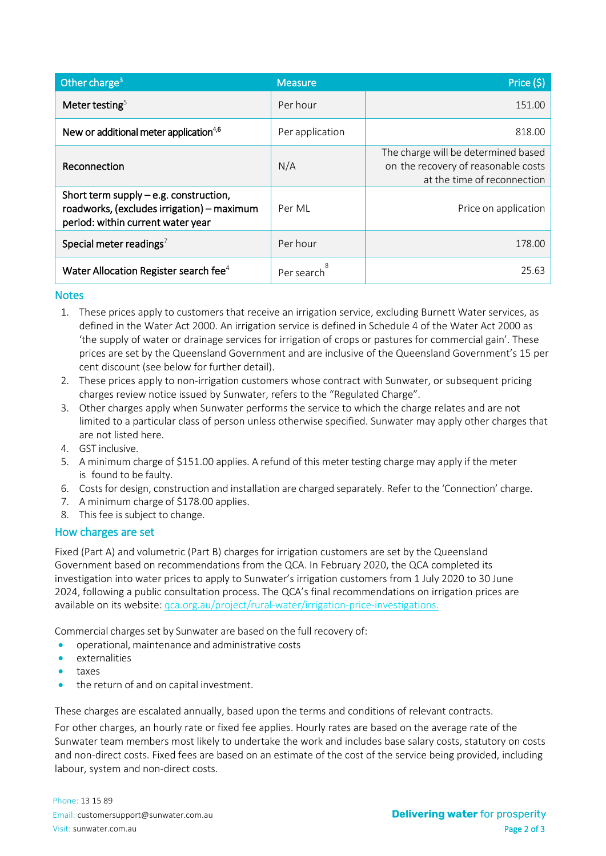| Other charge <sup>3</sup>                                                                                                   | <b>Measure</b>          | Price (\$)                                                                                                |
|-----------------------------------------------------------------------------------------------------------------------------|-------------------------|-----------------------------------------------------------------------------------------------------------|
| Meter testing $5$                                                                                                           | Per hour                | 151.00                                                                                                    |
| New or additional meter application <sup>4,6</sup>                                                                          | Per application         | 818.00                                                                                                    |
| Reconnection                                                                                                                | N/A                     | The charge will be determined based<br>on the recovery of reasonable costs<br>at the time of reconnection |
| Short term supply $-$ e.g. construction,<br>roadworks, (excludes irrigation) - maximum<br>period: within current water year | Per MI                  | Price on application                                                                                      |
| Special meter readings <sup>7</sup>                                                                                         | Per hour                | 178.00                                                                                                    |
| Water Allocation Register search fee <sup>4</sup>                                                                           | Per search <sup>8</sup> | 25.63                                                                                                     |

#### **Notes**

- 1. These prices apply to customers that receive an irrigation service, excluding Burnett Water services, as defined in the Water Act 2000. An irrigation service is defined in Schedule 4 of the Water Act 2000 as 'the supply of water or drainage services for irrigation of crops or pastures for commercial gain'. These prices are set by the Queensland Government and are inclusive of the Queensland Government's 15 per cent discount (see below for further detail).
- 2. These prices apply to non-irrigation customers whose contract with Sunwater, or subsequent pricing charges review notice issued by Sunwater, refers to the "Regulated Charge".
- 3. Other charges apply when Sunwater performs the service to which the charge relates and are not limited to a particular class of person unless otherwise specified. Sunwater may apply other charges that are not listed here.
- 4. GST inclusive.
- 5. A minimum charge of \$151.00 applies. A refund of this meter testing charge may apply if the meter is found to be faulty.
- 6. Costsfor design, construction and installation are charged separately. Refer to the 'Connection' charge.
- 7. A minimum charge of \$178.00 applies.
- 8. This fee is subject to change.

#### How charges are set

Fixed (Part A) and volumetric (Part B) charges for irrigation customers are set by the Queensland Government based on recommendations from the QCA. In February 2020, the QCA completed its investigation into water prices to apply to Sunwater's irrigation customers from 1 July 2020 to 30 June 2024, following a public consultation process. The QCA's final recommendations on irrigation prices are available on its website: qca.org.au/project/rural-water/irrigation-price-investigations.

Commercial charges set by Sunwater are based on the full recovery of:

- operational, maintenance and administrative costs
- externalities
- taxes
- the return of and on capital investment.

These charges are escalated annually, based upon the terms and conditions of relevant contracts.

For other charges, an hourly rate or fixed fee applies. Hourly rates are based on the average rate of the Sunwater team members most likely to undertake the work and includes base salary costs, statutory on costs and non-direct costs. Fixed fees are based on an estimate of the cost of the service being provided, including labour, system and non-direct costs.